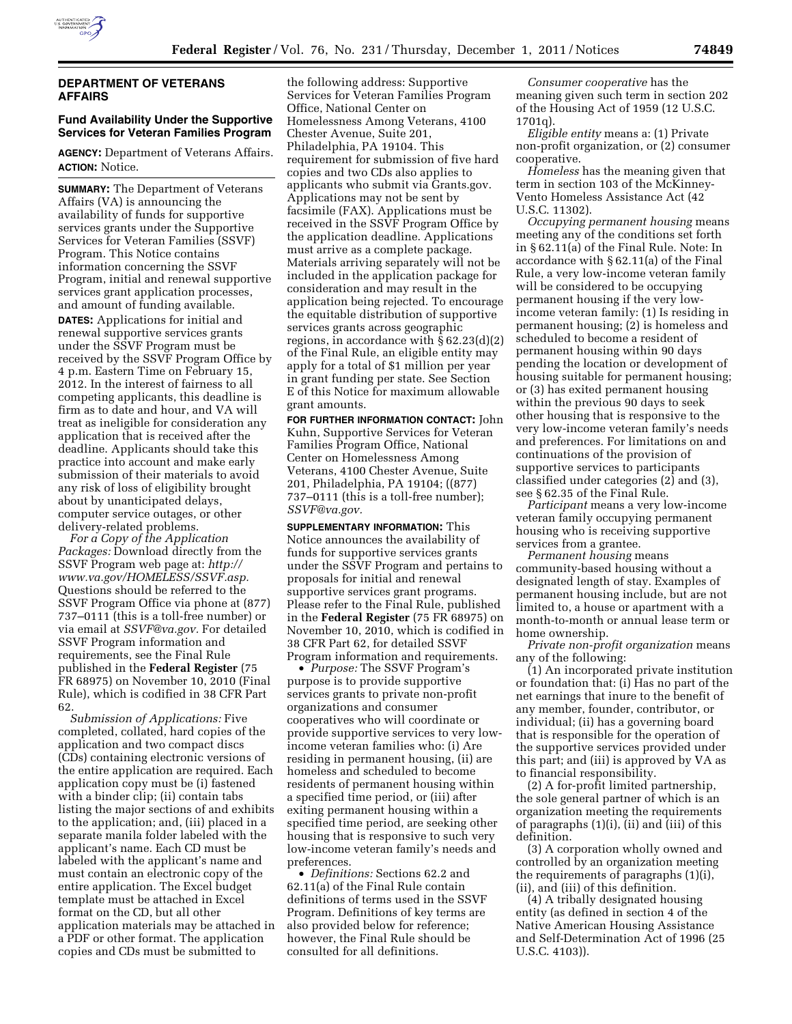

## **DEPARTMENT OF VETERANS AFFAIRS**

## **Fund Availability Under the Supportive Services for Veteran Families Program**

**AGENCY:** Department of Veterans Affairs. **ACTION:** Notice.

**SUMMARY:** The Department of Veterans Affairs (VA) is announcing the availability of funds for supportive services grants under the Supportive Services for Veteran Families (SSVF) Program. This Notice contains information concerning the SSVF Program, initial and renewal supportive services grant application processes, and amount of funding available. **DATES:** Applications for initial and renewal supportive services grants under the SSVF Program must be received by the SSVF Program Office by 4 p.m. Eastern Time on February 15, 2012. In the interest of fairness to all competing applicants, this deadline is firm as to date and hour, and VA will treat as ineligible for consideration any application that is received after the deadline. Applicants should take this practice into account and make early submission of their materials to avoid any risk of loss of eligibility brought about by unanticipated delays, computer service outages, or other delivery-related problems.

*For a Copy of the Application Packages:* Download directly from the SSVF Program web page at: *[http://](http://www.va.gov/HOMELESS/SSVF.asp) [www.va.gov/HOMELESS/SSVF.asp.](http://www.va.gov/HOMELESS/SSVF.asp)*  Questions should be referred to the SSVF Program Office via phone at (877) 737–0111 (this is a toll-free number) or via email at *[SSVF@va.gov.](mailto:SSVF@va.gov)* For detailed SSVF Program information and requirements, see the Final Rule published in the **Federal Register** (75 FR 68975) on November 10, 2010 (Final Rule), which is codified in 38 CFR Part 62.

*Submission of Applications:* Five completed, collated, hard copies of the application and two compact discs (CDs) containing electronic versions of the entire application are required. Each application copy must be (i) fastened with a binder clip; (ii) contain tabs listing the major sections of and exhibits to the application; and, (iii) placed in a separate manila folder labeled with the applicant's name. Each CD must be labeled with the applicant's name and must contain an electronic copy of the entire application. The Excel budget template must be attached in Excel format on the CD, but all other application materials may be attached in a PDF or other format. The application copies and CDs must be submitted to

the following address: Supportive Services for Veteran Families Program Office, National Center on Homelessness Among Veterans, 4100 Chester Avenue, Suite 201, Philadelphia, PA 19104. This requirement for submission of five hard copies and two CDs also applies to applicants who submit via Grants.gov. Applications may not be sent by facsimile (FAX). Applications must be received in the SSVF Program Office by the application deadline. Applications must arrive as a complete package. Materials arriving separately will not be included in the application package for consideration and may result in the application being rejected. To encourage the equitable distribution of supportive services grants across geographic regions, in accordance with  $\S 62.23(d)(2)$ of the Final Rule, an eligible entity may apply for a total of \$1 million per year in grant funding per state. See Section E of this Notice for maximum allowable grant amounts.

**FOR FURTHER INFORMATION CONTACT:** John Kuhn, Supportive Services for Veteran Families Program Office, National Center on Homelessness Among Veterans, 4100 Chester Avenue, Suite 201, Philadelphia, PA 19104; ((877) 737–0111 (this is a toll-free number); *[SSVF@va.gov.](mailto:SSVF@va.gov)* 

**SUPPLEMENTARY INFORMATION:** This Notice announces the availability of funds for supportive services grants under the SSVF Program and pertains to proposals for initial and renewal supportive services grant programs. Please refer to the Final Rule, published in the **Federal Register** (75 FR 68975) on November 10, 2010, which is codified in 38 CFR Part 62, for detailed SSVF Program information and requirements.

• *Purpose:* The SSVF Program's purpose is to provide supportive services grants to private non-profit organizations and consumer cooperatives who will coordinate or provide supportive services to very lowincome veteran families who: (i) Are residing in permanent housing, (ii) are homeless and scheduled to become residents of permanent housing within a specified time period, or (iii) after exiting permanent housing within a specified time period, are seeking other housing that is responsive to such very low-income veteran family's needs and preferences.

• *Definitions:* Sections 62.2 and 62.11(a) of the Final Rule contain definitions of terms used in the SSVF Program. Definitions of key terms are also provided below for reference; however, the Final Rule should be consulted for all definitions.

*Consumer cooperative* has the meaning given such term in section 202 of the Housing Act of 1959 (12 U.S.C. 1701q).

*Eligible entity* means a: (1) Private non-profit organization, or (2) consumer cooperative.

*Homeless* has the meaning given that term in section 103 of the McKinney-Vento Homeless Assistance Act (42 U.S.C. 11302).

*Occupying permanent housing* means meeting any of the conditions set forth in § 62.11(a) of the Final Rule. Note: In accordance with § 62.11(a) of the Final Rule, a very low-income veteran family will be considered to be occupying permanent housing if the very lowincome veteran family: (1) Is residing in permanent housing; (2) is homeless and scheduled to become a resident of permanent housing within 90 days pending the location or development of housing suitable for permanent housing; or (3) has exited permanent housing within the previous 90 days to seek other housing that is responsive to the very low-income veteran family's needs and preferences. For limitations on and continuations of the provision of supportive services to participants classified under categories (2) and (3), see § 62.35 of the Final Rule.

*Participant* means a very low-income veteran family occupying permanent housing who is receiving supportive services from a grantee.

*Permanent housing* means community-based housing without a designated length of stay. Examples of permanent housing include, but are not limited to, a house or apartment with a month-to-month or annual lease term or home ownership.

*Private non-profit organization* means any of the following:

(1) An incorporated private institution or foundation that: (i) Has no part of the net earnings that inure to the benefit of any member, founder, contributor, or individual; (ii) has a governing board that is responsible for the operation of the supportive services provided under this part; and (iii) is approved by VA as to financial responsibility.

(2) A for-profit limited partnership, the sole general partner of which is an organization meeting the requirements of paragraphs (1)(i), (ii) and (iii) of this definition.

(3) A corporation wholly owned and controlled by an organization meeting the requirements of paragraphs (1)(i), (ii), and (iii) of this definition.

(4) A tribally designated housing entity (as defined in section 4 of the Native American Housing Assistance and Self-Determination Act of 1996 (25 U.S.C. 4103)).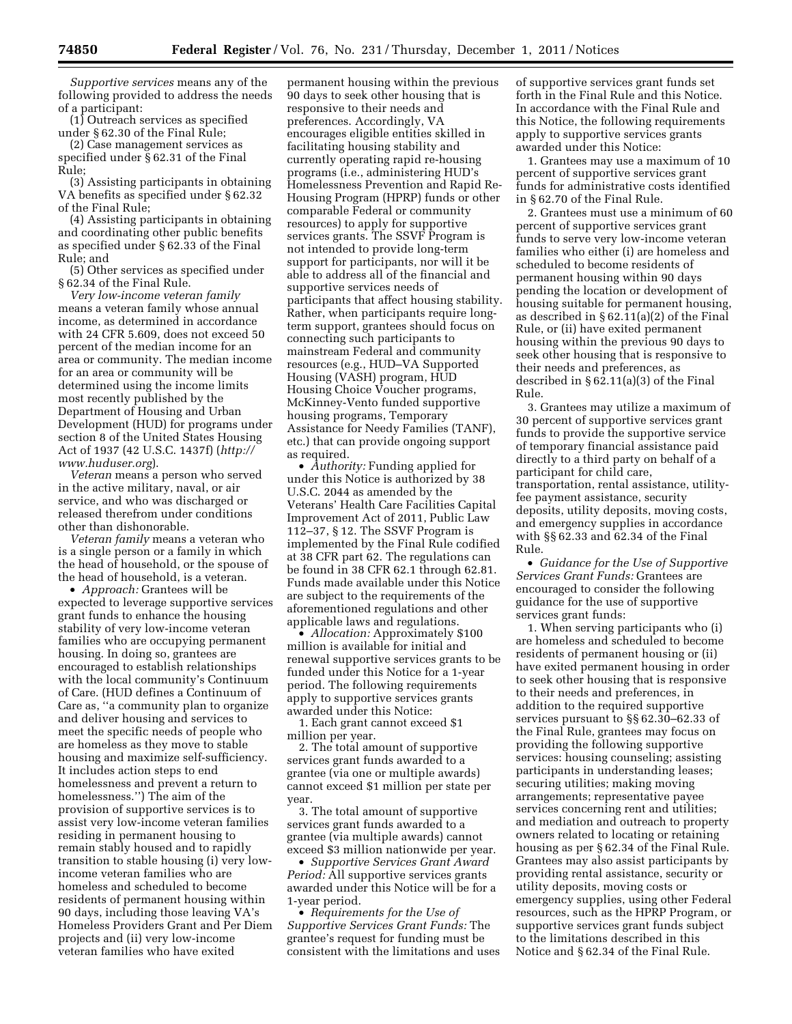*Supportive services* means any of the following provided to address the needs of a participant:

(1) Outreach services as specified under § 62.30 of the Final Rule;

(2) Case management services as specified under § 62.31 of the Final Rule;

(3) Assisting participants in obtaining VA benefits as specified under § 62.32 of the Final Rule;

(4) Assisting participants in obtaining and coordinating other public benefits as specified under § 62.33 of the Final Rule; and

(5) Other services as specified under § 62.34 of the Final Rule.

*Very low-income veteran family*  means a veteran family whose annual income, as determined in accordance with 24 CFR 5.609, does not exceed 50 percent of the median income for an area or community. The median income for an area or community will be determined using the income limits most recently published by the Department of Housing and Urban Development (HUD) for programs under section 8 of the United States Housing Act of 1937 (42 U.S.C. 1437f) (*[http://](http://www.huduser.org)  [www.huduser.org](http://www.huduser.org)*).

*Veteran* means a person who served in the active military, naval, or air service, and who was discharged or released therefrom under conditions other than dishonorable.

*Veteran family* means a veteran who is a single person or a family in which the head of household, or the spouse of the head of household, is a veteran.

• *Approach:* Grantees will be expected to leverage supportive services grant funds to enhance the housing stability of very low-income veteran families who are occupying permanent housing. In doing so, grantees are encouraged to establish relationships with the local community's Continuum of Care. (HUD defines a Continuum of Care as, ''a community plan to organize and deliver housing and services to meet the specific needs of people who are homeless as they move to stable housing and maximize self-sufficiency. It includes action steps to end homelessness and prevent a return to homelessness.'') The aim of the provision of supportive services is to assist very low-income veteran families residing in permanent housing to remain stably housed and to rapidly transition to stable housing (i) very lowincome veteran families who are homeless and scheduled to become residents of permanent housing within 90 days, including those leaving VA's Homeless Providers Grant and Per Diem projects and (ii) very low-income veteran families who have exited

permanent housing within the previous 90 days to seek other housing that is responsive to their needs and preferences. Accordingly, VA encourages eligible entities skilled in facilitating housing stability and currently operating rapid re-housing programs (i.e., administering HUD's Homelessness Prevention and Rapid Re-Housing Program (HPRP) funds or other comparable Federal or community resources) to apply for supportive services grants. The SSVF Program is not intended to provide long-term support for participants, nor will it be able to address all of the financial and supportive services needs of participants that affect housing stability. Rather, when participants require longterm support, grantees should focus on connecting such participants to mainstream Federal and community resources (e.g., HUD–VA Supported Housing (VASH) program, HUD Housing Choice Voucher programs, McKinney-Vento funded supportive housing programs, Temporary Assistance for Needy Families (TANF), etc.) that can provide ongoing support as required.

• *Authority:* Funding applied for under this Notice is authorized by 38 U.S.C. 2044 as amended by the Veterans' Health Care Facilities Capital Improvement Act of 2011, Public Law 112–37, § 12. The SSVF Program is implemented by the Final Rule codified at 38 CFR part 62. The regulations can be found in 38 CFR 62.1 through 62.81. Funds made available under this Notice are subject to the requirements of the aforementioned regulations and other applicable laws and regulations.

• *Allocation:* Approximately \$100 million is available for initial and renewal supportive services grants to be funded under this Notice for a 1-year period. The following requirements apply to supportive services grants awarded under this Notice:

1. Each grant cannot exceed \$1 million per year.

2. The total amount of supportive services grant funds awarded to a grantee (via one or multiple awards) cannot exceed \$1 million per state per year.

3. The total amount of supportive services grant funds awarded to a grantee (via multiple awards) cannot exceed \$3 million nationwide per year.

• *Supportive Services Grant Award Period:* All supportive services grants awarded under this Notice will be for a 1-year period.

• *Requirements for the Use of Supportive Services Grant Funds:* The grantee's request for funding must be consistent with the limitations and uses of supportive services grant funds set forth in the Final Rule and this Notice. In accordance with the Final Rule and this Notice, the following requirements apply to supportive services grants awarded under this Notice:

1. Grantees may use a maximum of 10 percent of supportive services grant funds for administrative costs identified in § 62.70 of the Final Rule.

2. Grantees must use a minimum of 60 percent of supportive services grant funds to serve very low-income veteran families who either (i) are homeless and scheduled to become residents of permanent housing within 90 days pending the location or development of housing suitable for permanent housing, as described in § 62.11(a)(2) of the Final Rule, or (ii) have exited permanent housing within the previous 90 days to seek other housing that is responsive to their needs and preferences, as described in § 62.11(a)(3) of the Final Rule.

3. Grantees may utilize a maximum of 30 percent of supportive services grant funds to provide the supportive service of temporary financial assistance paid directly to a third party on behalf of a participant for child care, transportation, rental assistance, utilityfee payment assistance, security deposits, utility deposits, moving costs, and emergency supplies in accordance with §§ 62.33 and 62.34 of the Final Rule.

• *Guidance for the Use of Supportive Services Grant Funds:* Grantees are encouraged to consider the following guidance for the use of supportive services grant funds:

1. When serving participants who (i) are homeless and scheduled to become residents of permanent housing or (ii) have exited permanent housing in order to seek other housing that is responsive to their needs and preferences, in addition to the required supportive services pursuant to §§ 62.30–62.33 of the Final Rule, grantees may focus on providing the following supportive services: housing counseling; assisting participants in understanding leases; securing utilities; making moving arrangements; representative payee services concerning rent and utilities; and mediation and outreach to property owners related to locating or retaining housing as per § 62.34 of the Final Rule. Grantees may also assist participants by providing rental assistance, security or utility deposits, moving costs or emergency supplies, using other Federal resources, such as the HPRP Program, or supportive services grant funds subject to the limitations described in this Notice and § 62.34 of the Final Rule.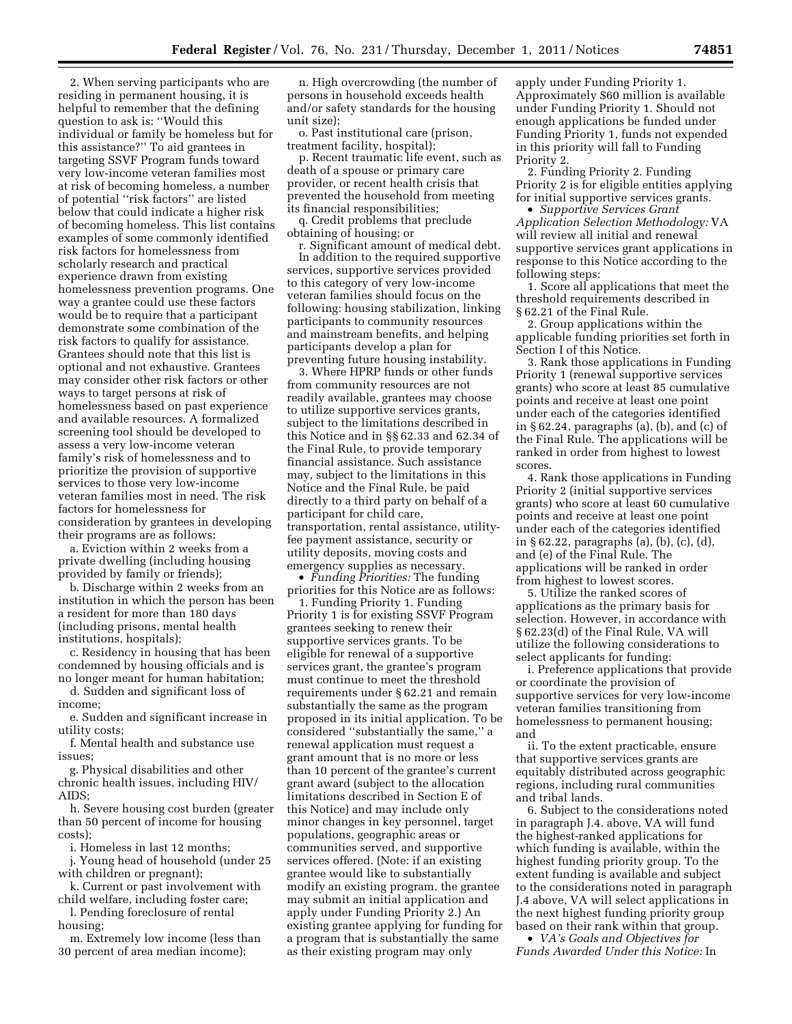2. When serving participants who are residing in permanent housing, it is helpful to remember that the defining question to ask is: ''Would this individual or family be homeless but for this assistance?'' To aid grantees in targeting SSVF Program funds toward very low-income veteran families most at risk of becoming homeless, a number of potential ''risk factors'' are listed below that could indicate a higher risk of becoming homeless. This list contains examples of some commonly identified risk factors for homelessness from scholarly research and practical experience drawn from existing homelessness prevention programs. One way a grantee could use these factors would be to require that a participant demonstrate some combination of the risk factors to qualify for assistance. Grantees should note that this list is optional and not exhaustive. Grantees may consider other risk factors or other ways to target persons at risk of homelessness based on past experience and available resources. A formalized screening tool should be developed to assess a very low-income veteran family's risk of homelessness and to prioritize the provision of supportive services to those very low-income veteran families most in need. The risk factors for homelessness for consideration by grantees in developing their programs are as follows:

a. Eviction within 2 weeks from a private dwelling (including housing provided by family or friends);

b. Discharge within 2 weeks from an institution in which the person has been a resident for more than 180 days (including prisons, mental health institutions, hospitals);

c. Residency in housing that has been condemned by housing officials and is no longer meant for human habitation;

d. Sudden and significant loss of income;

e. Sudden and significant increase in utility costs;

f. Mental health and substance use issues;

g. Physical disabilities and other chronic health issues, including HIV/  $A$ IDS $\cdot$ 

h. Severe housing cost burden (greater than 50 percent of income for housing costs);

i. Homeless in last 12 months;

j. Young head of household (under 25 with children or pregnant);

k. Current or past involvement with child welfare, including foster care;

l. Pending foreclosure of rental housing;

m. Extremely low income (less than 30 percent of area median income);

n. High overcrowding (the number of persons in household exceeds health and/or safety standards for the housing unit size);

o. Past institutional care (prison, treatment facility, hospital);

p. Recent traumatic life event, such as death of a spouse or primary care provider, or recent health crisis that prevented the household from meeting its financial responsibilities;

q. Credit problems that preclude obtaining of housing; or

r. Significant amount of medical debt. In addition to the required supportive services, supportive services provided to this category of very low-income veteran families should focus on the following: housing stabilization, linking participants to community resources and mainstream benefits, and helping participants develop a plan for preventing future housing instability.

3. Where HPRP funds or other funds from community resources are not readily available, grantees may choose to utilize supportive services grants, subject to the limitations described in this Notice and in §§ 62.33 and 62.34 of the Final Rule, to provide temporary financial assistance. Such assistance may, subject to the limitations in this Notice and the Final Rule, be paid directly to a third party on behalf of a participant for child care, transportation, rental assistance, utilityfee payment assistance, security or utility deposits, moving costs and emergency supplies as necessary.

• *Funding Priorities:* The funding priorities for this Notice are as follows:

1. Funding Priority 1. Funding Priority 1 is for existing SSVF Program grantees seeking to renew their supportive services grants. To be eligible for renewal of a supportive services grant, the grantee's program must continue to meet the threshold requirements under § 62.21 and remain substantially the same as the program proposed in its initial application. To be considered ''substantially the same,'' a renewal application must request a grant amount that is no more or less than 10 percent of the grantee's current grant award (subject to the allocation limitations described in Section E of this Notice) and may include only minor changes in key personnel, target populations, geographic areas or communities served, and supportive services offered. (Note: if an existing grantee would like to substantially modify an existing program, the grantee may submit an initial application and apply under Funding Priority 2.) An existing grantee applying for funding for a program that is substantially the same as their existing program may only

apply under Funding Priority 1. Approximately \$60 million is available under Funding Priority 1. Should not enough applications be funded under Funding Priority 1, funds not expended in this priority will fall to Funding Priority 2.

2. Funding Priority 2. Funding Priority 2 is for eligible entities applying for initial supportive services grants.

• *Supportive Services Grant Application Selection Methodology:* VA will review all initial and renewal supportive services grant applications in response to this Notice according to the following steps:

1. Score all applications that meet the threshold requirements described in § 62.21 of the Final Rule.

2. Group applications within the applicable funding priorities set forth in Section I of this Notice.

3. Rank those applications in Funding Priority 1 (renewal supportive services grants) who score at least 85 cumulative points and receive at least one point under each of the categories identified in § 62.24, paragraphs (a), (b), and (c) of the Final Rule. The applications will be ranked in order from highest to lowest scores.

4. Rank those applications in Funding Priority 2 (initial supportive services grants) who score at least 60 cumulative points and receive at least one point under each of the categories identified in § 62.22, paragraphs (a), (b), (c), (d), and (e) of the Final Rule. The applications will be ranked in order from highest to lowest scores.

5. Utilize the ranked scores of applications as the primary basis for selection. However, in accordance with § 62.23(d) of the Final Rule, VA will utilize the following considerations to select applicants for funding:

i. Preference applications that provide or coordinate the provision of supportive services for very low-income veteran families transitioning from homelessness to permanent housing; and

ii. To the extent practicable, ensure that supportive services grants are equitably distributed across geographic regions, including rural communities and tribal lands.

6. Subject to the considerations noted in paragraph J.4. above, VA will fund the highest-ranked applications for which funding is available, within the highest funding priority group. To the extent funding is available and subject to the considerations noted in paragraph J.4 above, VA will select applications in the next highest funding priority group based on their rank within that group.

• *VA's Goals and Objectives for Funds Awarded Under this Notice:* In